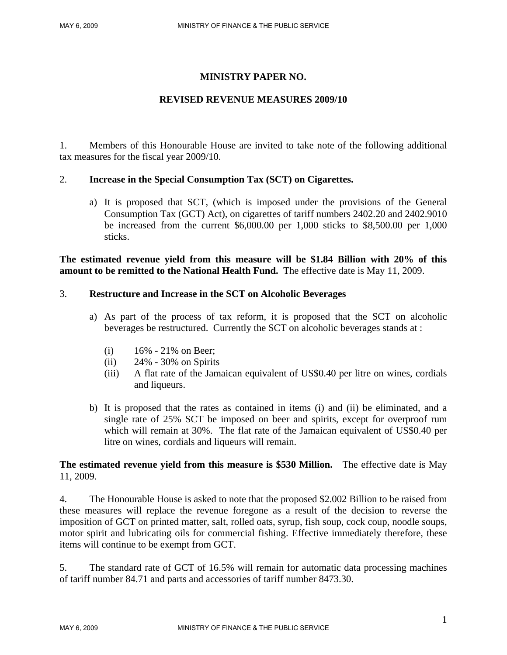# **MINISTRY PAPER NO.**

## **REVISED REVENUE MEASURES 2009/10**

1. Members of this Honourable House are invited to take note of the following additional tax measures for the fiscal year 2009/10.

### 2. **Increase in the Special Consumption Tax (SCT) on Cigarettes.**

a) It is proposed that SCT, (which is imposed under the provisions of the General Consumption Tax (GCT) Act), on cigarettes of tariff numbers 2402.20 and 2402.9010 be increased from the current \$6,000.00 per 1,000 sticks to \$8,500.00 per 1,000 sticks.

**The estimated revenue yield from this measure will be \$1.84 Billion with 20% of this amount to be remitted to the National Health Fund.** The effective date is May 11, 2009.

### 3. **Restructure and Increase in the SCT on Alcoholic Beverages**

- a) As part of the process of tax reform, it is proposed that the SCT on alcoholic beverages be restructured. Currently the SCT on alcoholic beverages stands at :
	- (i)  $16\% 21\%$  on Beer;
	- (ii) 24% 30% on Spirits
	- (iii) A flat rate of the Jamaican equivalent of US\$0.40 per litre on wines, cordials and liqueurs.
- b) It is proposed that the rates as contained in items (i) and (ii) be eliminated, and a single rate of 25% SCT be imposed on beer and spirits, except for overproof rum which will remain at 30%. The flat rate of the Jamaican equivalent of US\$0.40 per litre on wines, cordials and liqueurs will remain.

## **The estimated revenue yield from this measure is \$530 Million.** The effective date is May 11, 2009.

4. The Honourable House is asked to note that the proposed \$2.002 Billion to be raised from these measures will replace the revenue foregone as a result of the decision to reverse the imposition of GCT on printed matter, salt, rolled oats, syrup, fish soup, cock coup, noodle soups, motor spirit and lubricating oils for commercial fishing. Effective immediately therefore, these items will continue to be exempt from GCT.

5. The standard rate of GCT of 16.5% will remain for automatic data processing machines of tariff number 84.71 and parts and accessories of tariff number 8473.30.